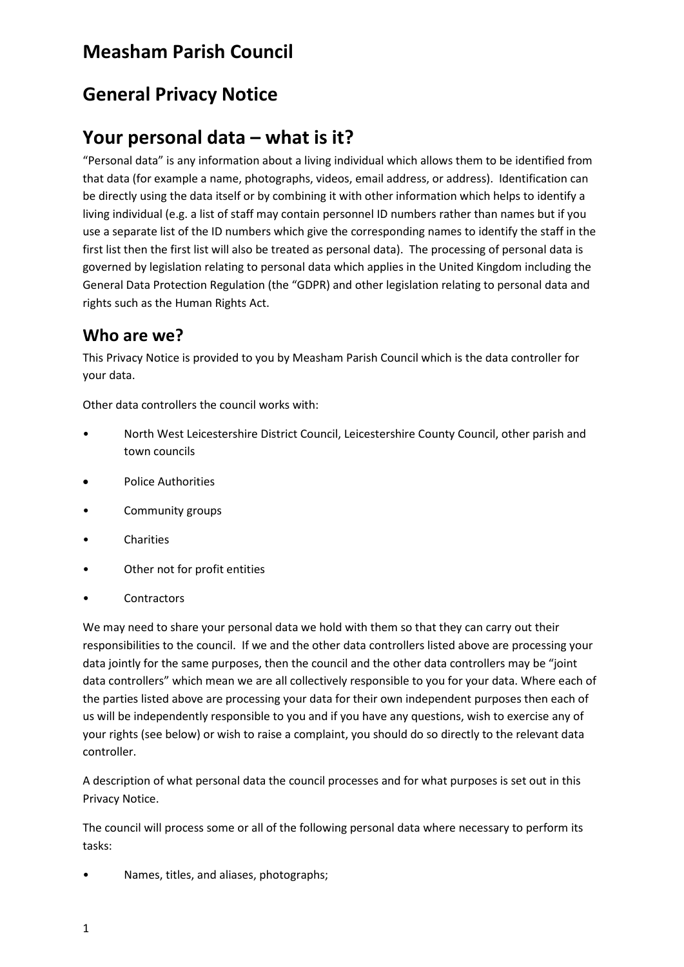# **Measham Parish Council**

# **General Privacy Notice**

# **Your personal data – what is it?**

"Personal data" is any information about a living individual which allows them to be identified from that data (for example a name, photographs, videos, email address, or address). Identification can be directly using the data itself or by combining it with other information which helps to identify a living individual (e.g. a list of staff may contain personnel ID numbers rather than names but if you use a separate list of the ID numbers which give the corresponding names to identify the staff in the first list then the first list will also be treated as personal data). The processing of personal data is governed by legislation relating to personal data which applies in the United Kingdom including the General Data Protection Regulation (the "GDPR) and other legislation relating to personal data and rights such as the Human Rights Act.

#### **Who are we?**

This Privacy Notice is provided to you by Measham Parish Council which is the data controller for your data.

Other data controllers the council works with:

- North West Leicestershire District Council, Leicestershire County Council, other parish and town councils
- Police Authorities
- Community groups
- **Charities**
- Other not for profit entities
- **Contractors**

We may need to share your personal data we hold with them so that they can carry out their responsibilities to the council. If we and the other data controllers listed above are processing your data jointly for the same purposes, then the council and the other data controllers may be "joint data controllers" which mean we are all collectively responsible to you for your data. Where each of the parties listed above are processing your data for their own independent purposes then each of us will be independently responsible to you and if you have any questions, wish to exercise any of your rights (see below) or wish to raise a complaint, you should do so directly to the relevant data controller.

A description of what personal data the council processes and for what purposes is set out in this Privacy Notice.

The council will process some or all of the following personal data where necessary to perform its tasks:

• Names, titles, and aliases, photographs;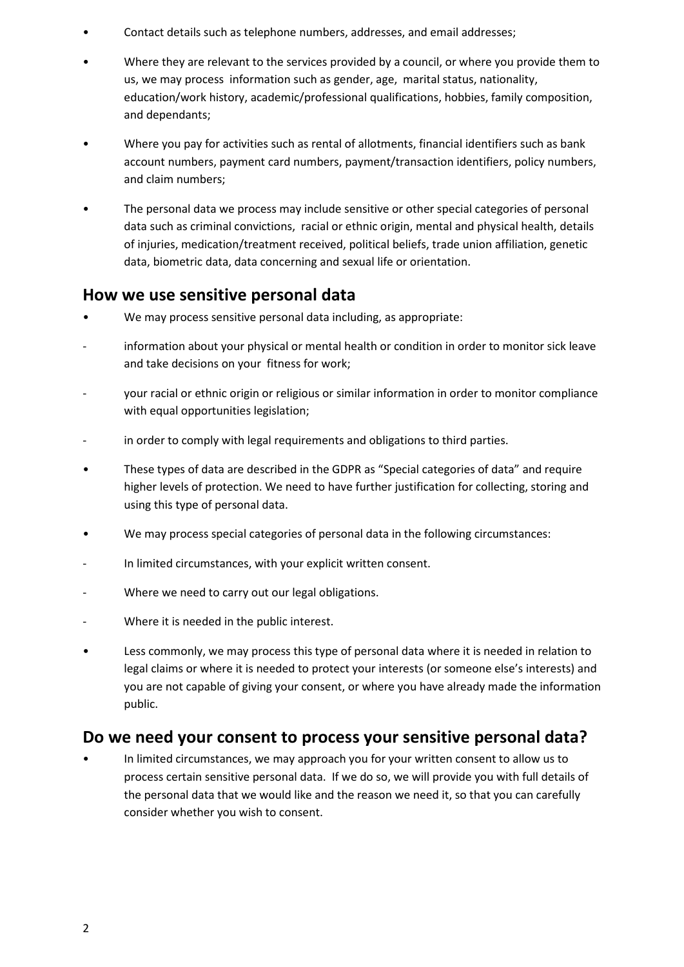- Contact details such as telephone numbers, addresses, and email addresses;
- Where they are relevant to the services provided by a council, or where you provide them to us, we may process information such as gender, age, marital status, nationality, education/work history, academic/professional qualifications, hobbies, family composition, and dependants;
- Where you pay for activities such as rental of allotments, financial identifiers such as bank account numbers, payment card numbers, payment/transaction identifiers, policy numbers, and claim numbers;
- The personal data we process may include sensitive or other special categories of personal data such as criminal convictions, racial or ethnic origin, mental and physical health, details of injuries, medication/treatment received, political beliefs, trade union affiliation, genetic data, biometric data, data concerning and sexual life or orientation.

#### **How we use sensitive personal data**

- We may process sensitive personal data including, as appropriate:
- information about your physical or mental health or condition in order to monitor sick leave and take decisions on your fitness for work;
- your racial or ethnic origin or religious or similar information in order to monitor compliance with equal opportunities legislation;
- in order to comply with legal requirements and obligations to third parties.
- These types of data are described in the GDPR as "Special categories of data" and require higher levels of protection. We need to have further justification for collecting, storing and using this type of personal data.
- We may process special categories of personal data in the following circumstances:
- In limited circumstances, with your explicit written consent.
- Where we need to carry out our legal obligations.
- Where it is needed in the public interest.
- Less commonly, we may process this type of personal data where it is needed in relation to legal claims or where it is needed to protect your interests (or someone else's interests) and you are not capable of giving your consent, or where you have already made the information public.

#### **Do we need your consent to process your sensitive personal data?**

• In limited circumstances, we may approach you for your written consent to allow us to process certain sensitive personal data. If we do so, we will provide you with full details of the personal data that we would like and the reason we need it, so that you can carefully consider whether you wish to consent.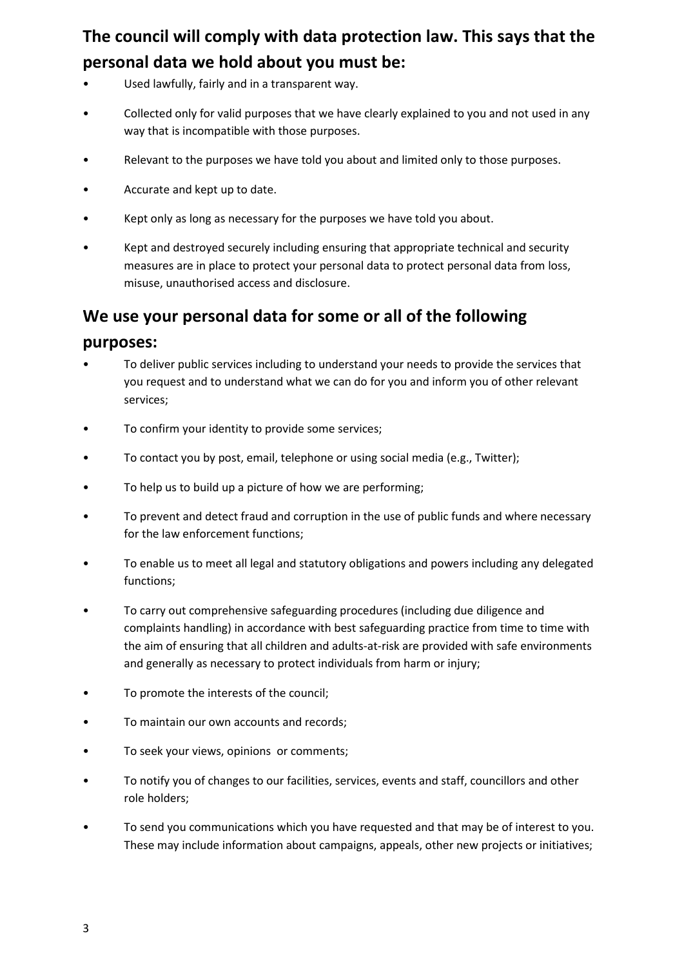# **The council will comply with data protection law. This says that the personal data we hold about you must be:**

- Used lawfully, fairly and in a transparent way.
- Collected only for valid purposes that we have clearly explained to you and not used in any way that is incompatible with those purposes.
- Relevant to the purposes we have told you about and limited only to those purposes.
- Accurate and kept up to date.
- Kept only as long as necessary for the purposes we have told you about.
- Kept and destroyed securely including ensuring that appropriate technical and security measures are in place to protect your personal data to protect personal data from loss, misuse, unauthorised access and disclosure.

#### **We use your personal data for some or all of the following**

#### **purposes:**

- To deliver public services including to understand your needs to provide the services that you request and to understand what we can do for you and inform you of other relevant services;
- To confirm your identity to provide some services;
- To contact you by post, email, telephone or using social media (e.g., Twitter);
- To help us to build up a picture of how we are performing;
- To prevent and detect fraud and corruption in the use of public funds and where necessary for the law enforcement functions;
- To enable us to meet all legal and statutory obligations and powers including any delegated functions;
- To carry out comprehensive safeguarding procedures (including due diligence and complaints handling) in accordance with best safeguarding practice from time to time with the aim of ensuring that all children and adults-at-risk are provided with safe environments and generally as necessary to protect individuals from harm or injury;
- To promote the interests of the council;
- To maintain our own accounts and records;
- To seek your views, opinions or comments;
- To notify you of changes to our facilities, services, events and staff, councillors and other role holders;
- To send you communications which you have requested and that may be of interest to you. These may include information about campaigns, appeals, other new projects or initiatives;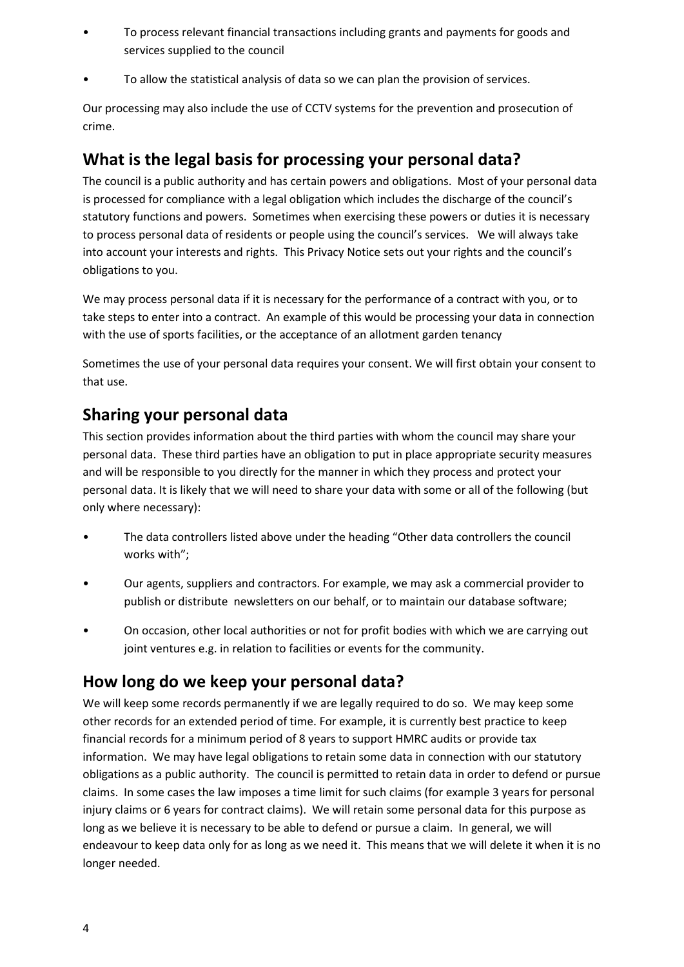- To process relevant financial transactions including grants and payments for goods and services supplied to the council
- To allow the statistical analysis of data so we can plan the provision of services.

Our processing may also include the use of CCTV systems for the prevention and prosecution of crime.

#### **What is the legal basis for processing your personal data?**

The council is a public authority and has certain powers and obligations. Most of your personal data is processed for compliance with a legal obligation which includes the discharge of the council's statutory functions and powers. Sometimes when exercising these powers or duties it is necessary to process personal data of residents or people using the council's services. We will always take into account your interests and rights. This Privacy Notice sets out your rights and the council's obligations to you.

We may process personal data if it is necessary for the performance of a contract with you, or to take steps to enter into a contract. An example of this would be processing your data in connection with the use of sports facilities, or the acceptance of an allotment garden tenancy

Sometimes the use of your personal data requires your consent. We will first obtain your consent to that use.

### **Sharing your personal data**

This section provides information about the third parties with whom the council may share your personal data. These third parties have an obligation to put in place appropriate security measures and will be responsible to you directly for the manner in which they process and protect your personal data. It is likely that we will need to share your data with some or all of the following (but only where necessary):

- The data controllers listed above under the heading "Other data controllers the council works with";
- Our agents, suppliers and contractors. For example, we may ask a commercial provider to publish or distribute newsletters on our behalf, or to maintain our database software;
- On occasion, other local authorities or not for profit bodies with which we are carrying out joint ventures e.g. in relation to facilities or events for the community.

### **How long do we keep your personal data?**

We will keep some records permanently if we are legally required to do so. We may keep some other records for an extended period of time. For example, it is currently best practice to keep financial records for a minimum period of 8 years to support HMRC audits or provide tax information. We may have legal obligations to retain some data in connection with our statutory obligations as a public authority. The council is permitted to retain data in order to defend or pursue claims. In some cases the law imposes a time limit for such claims (for example 3 years for personal injury claims or 6 years for contract claims). We will retain some personal data for this purpose as long as we believe it is necessary to be able to defend or pursue a claim. In general, we will endeavour to keep data only for as long as we need it. This means that we will delete it when it is no longer needed.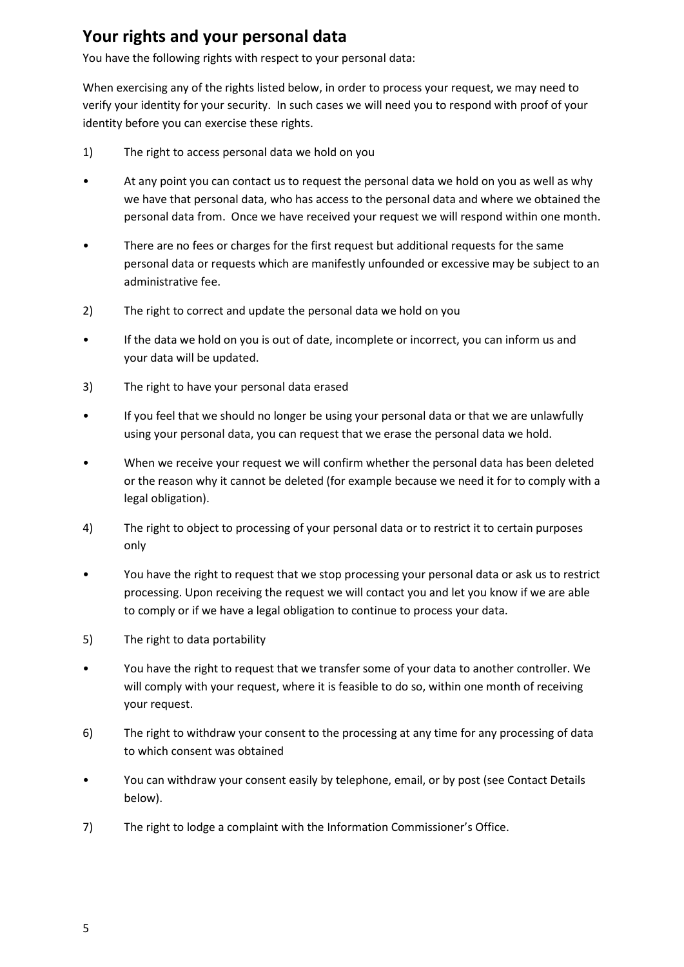### **Your rights and your personal data**

You have the following rights with respect to your personal data:

When exercising any of the rights listed below, in order to process your request, we may need to verify your identity for your security. In such cases we will need you to respond with proof of your identity before you can exercise these rights.

- 1) The right to access personal data we hold on you
- At any point you can contact us to request the personal data we hold on you as well as why we have that personal data, who has access to the personal data and where we obtained the personal data from. Once we have received your request we will respond within one month.
- There are no fees or charges for the first request but additional requests for the same personal data or requests which are manifestly unfounded or excessive may be subject to an administrative fee.
- 2) The right to correct and update the personal data we hold on you
- If the data we hold on you is out of date, incomplete or incorrect, you can inform us and your data will be updated.
- 3) The right to have your personal data erased
- If you feel that we should no longer be using your personal data or that we are unlawfully using your personal data, you can request that we erase the personal data we hold.
- When we receive your request we will confirm whether the personal data has been deleted or the reason why it cannot be deleted (for example because we need it for to comply with a legal obligation).
- 4) The right to object to processing of your personal data or to restrict it to certain purposes only
- You have the right to request that we stop processing your personal data or ask us to restrict processing. Upon receiving the request we will contact you and let you know if we are able to comply or if we have a legal obligation to continue to process your data.
- 5) The right to data portability
- You have the right to request that we transfer some of your data to another controller. We will comply with your request, where it is feasible to do so, within one month of receiving your request.
- 6) The right to withdraw your consent to the processing at any time for any processing of data to which consent was obtained
- You can withdraw your consent easily by telephone, email, or by post (see Contact Details below).
- 7) The right to lodge a complaint with the Information Commissioner's Office.